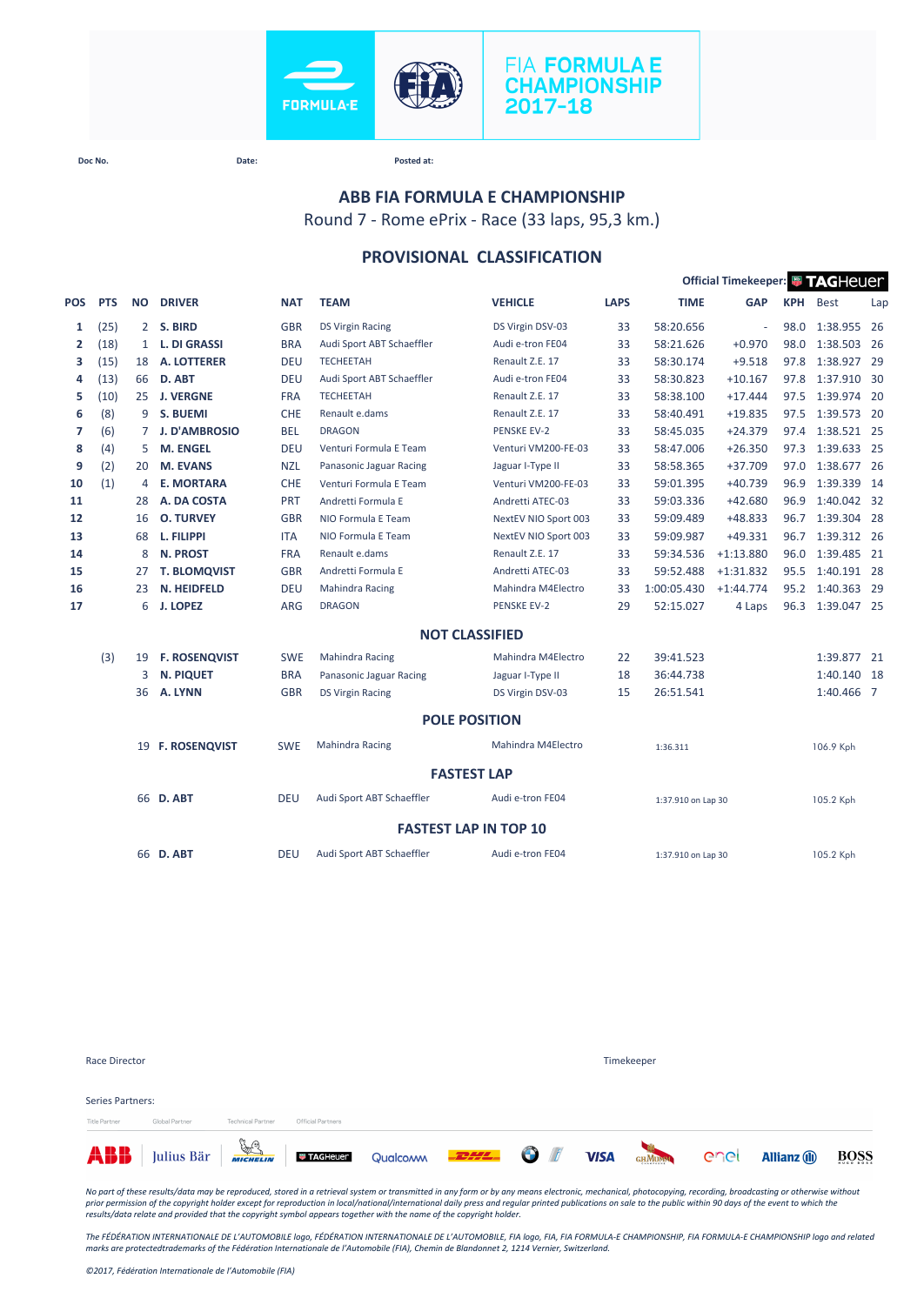

# **FIA FORMULA E CHAMPIONSHIP** 2017-18

**Doc No. Date: Posted at:**

# **ABB FIA FORMULA E CHAMPIONSHIP**

Round 7 - Rome ePrix - Race (33 laps, 95,3 km.)

### **PROVISIONAL CLASSIFICATION**

|                |            |                |                      |            |                           |                              |             |                    | Official Timekeeper: FAGHeuer |            |             |     |
|----------------|------------|----------------|----------------------|------------|---------------------------|------------------------------|-------------|--------------------|-------------------------------|------------|-------------|-----|
| POS            | <b>PTS</b> | <b>NO</b>      | <b>DRIVER</b>        | <b>NAT</b> | <b>TEAM</b>               | <b>VEHICLE</b>               | <b>LAPS</b> | <b>TIME</b>        | <b>GAP</b>                    | <b>KPH</b> | <b>Best</b> | Lap |
| 1              | (25)       | $\overline{2}$ | S. BIRD              | <b>GBR</b> | <b>DS Virgin Racing</b>   | DS Virgin DSV-03             | 33          | 58:20.656          | $\sim$                        | 98.0       | 1:38.955    | 26  |
| $\overline{2}$ | (18)       | $\mathbf{1}$   | <b>L. DI GRASSI</b>  | <b>BRA</b> | Audi Sport ABT Schaeffler | Audi e-tron FE04             | 33          | 58:21.626          | $+0.970$                      | 98.0       | 1:38.503 26 |     |
| з              | (15)       | 18             | <b>A. LOTTERER</b>   | <b>DEU</b> | <b>TECHEETAH</b>          | Renault Z.E. 17              | 33          | 58:30.174          | $+9.518$                      | 97.8       | 1:38.927 29 |     |
| 4              | (13)       | 66             | D. ABT               | <b>DEU</b> | Audi Sport ABT Schaeffler | Audi e-tron FE04             | 33          | 58:30.823          | $+10.167$                     | 97.8       | 1:37.910 30 |     |
| 5              | (10)       | 25             | <b>J. VERGNE</b>     | <b>FRA</b> | <b>TECHEETAH</b>          | Renault Z.E. 17              | 33          | 58:38.100          | $+17.444$                     | 97.5       | 1:39.974 20 |     |
| 6              | (8)        | 9              | <b>S. BUEMI</b>      | <b>CHE</b> | Renault e.dams            | Renault Z.E. 17              | 33          | 58:40.491          | $+19.835$                     | 97.5       | 1:39.573 20 |     |
| 7              | (6)        | $7^{\circ}$    | <b>J. D'AMBROSIO</b> | <b>BEL</b> | <b>DRAGON</b>             | <b>PENSKE EV-2</b>           | 33          | 58:45.035          | $+24.379$                     | 97.4       | 1:38.521 25 |     |
| 8              | (4)        | 5              | <b>M. ENGEL</b>      | <b>DEU</b> | Venturi Formula E Team    | Venturi VM200-FE-03          | 33          | 58:47.006          | $+26.350$                     | 97.3       | 1:39.633 25 |     |
| 9              | (2)        | 20             | <b>M. EVANS</b>      | <b>NZL</b> | Panasonic Jaguar Racing   | Jaguar I-Type II             | 33          | 58:58.365          | $+37.709$                     | 97.0       | 1:38.677 26 |     |
| 10             | (1)        | 4              | <b>E. MORTARA</b>    | CHE        | Venturi Formula E Team    | Venturi VM200-FE-03          | 33          | 59:01.395          | $+40.739$                     | 96.9       | 1:39.339 14 |     |
| 11             |            | 28             | A. DA COSTA          | PRT        | Andretti Formula E        | Andretti ATEC-03             | 33          | 59:03.336          | $+42.680$                     | 96.9       | 1:40.042 32 |     |
| 12             |            | 16             | <b>O. TURVEY</b>     | <b>GBR</b> | NIO Formula E Team        | NextEV NIO Sport 003         | 33          | 59:09.489          | $+48.833$                     | 96.7       | 1:39.304 28 |     |
| 13             |            | 68             | L. FILIPPI           | <b>ITA</b> | NIO Formula E Team        | NextEV NIO Sport 003         | 33          | 59:09.987          | $+49.331$                     | 96.7       | 1:39.312 26 |     |
| 14             |            | 8              | <b>N. PROST</b>      | <b>FRA</b> | Renault e.dams            | Renault Z.E. 17              | 33          | 59:34.536          | $+1:13.880$                   | 96.0       | 1:39.485 21 |     |
| 15             |            | 27             | <b>T. BLOMQVIST</b>  | <b>GBR</b> | Andretti Formula E        | Andretti ATEC-03             | 33          | 59:52.488          | $+1:31.832$                   | 95.5       | 1:40.191 28 |     |
| 16             |            | 23             | <b>N. HEIDFELD</b>   | <b>DEU</b> | <b>Mahindra Racing</b>    | Mahindra M4Electro           | 33          | 1:00:05.430        | $+1:44.774$                   | 95.2       | 1:40.363 29 |     |
| 17             |            | 6              | <b>J. LOPEZ</b>      | <b>ARG</b> | <b>DRAGON</b>             | <b>PENSKE EV-2</b>           | 29          | 52:15.027          | 4 Laps                        | 96.3       | 1:39.047 25 |     |
|                |            |                |                      |            |                           | <b>NOT CLASSIFIED</b>        |             |                    |                               |            |             |     |
|                | (3)        | 19             | <b>F. ROSENQVIST</b> | <b>SWE</b> | <b>Mahindra Racing</b>    | Mahindra M4Electro           | 22          | 39:41.523          |                               |            | 1:39.877 21 |     |
|                |            | 3              | <b>N. PIQUET</b>     | <b>BRA</b> | Panasonic Jaguar Racing   | Jaguar I-Type II             | 18          | 36:44.738          |                               |            | 1:40.140 18 |     |
|                |            | 36             | A. LYNN              | <b>GBR</b> | <b>DS Virgin Racing</b>   | DS Virgin DSV-03             | 15          | 26:51.541          |                               |            | 1:40.466 7  |     |
|                |            |                |                      |            |                           | <b>POLE POSITION</b>         |             |                    |                               |            |             |     |
|                |            |                | 19 F. ROSENQVIST     | <b>SWE</b> | <b>Mahindra Racing</b>    | Mahindra M4Electro           |             | 1:36.311           |                               |            | 106.9 Kph   |     |
|                |            |                |                      |            |                           | <b>FASTEST LAP</b>           |             |                    |                               |            |             |     |
|                |            |                | 66 D. ABT            | <b>DEU</b> | Audi Sport ABT Schaeffler | Audi e-tron FE04             |             | 1:37.910 on Lap 30 |                               |            | 105.2 Kph   |     |
|                |            |                |                      |            |                           | <b>FASTEST LAP IN TOP 10</b> |             |                    |                               |            |             |     |
|                |            |                | 66 D. ABT            | <b>DEU</b> | Audi Sport ABT Schaeffler | Audi e-tron FE04             |             | 1:37.910 on Lap 30 |                               |            | 105.2 Kph   |     |

| Race Director                            |                                                                              |                          |                   |  |  | Timekeeper    |      |                     |      |
|------------------------------------------|------------------------------------------------------------------------------|--------------------------|-------------------|--|--|---------------|------|---------------------|------|
| <b>Series Partners:</b><br>Title Partner | Global Partner                                                               | <b>Technical Partner</b> | Official Partners |  |  |               |      |                     |      |
|                                          | <b>ABB</b> Julius Bär <b>Francische Director</b> Qualcom <b>PELL OF</b> VISA |                          |                   |  |  | <b>GHMUMM</b> | enel | <b>Allianz</b> (ii) | BOSS |

*No part of these results/data may be reproduced, stored in a retrieval system or transmitted in any form or by any means electronic, mechanical, photocopying, recording, broadcasting or otherwise without*  prior permission of the copyright holder except for reproduction in local/national/international daily press and regular printed publications on sale to the public within 90 days of the event to which the<br>results/data rela

*The FÉDÉRATION INTERNATIONALE DE L'AUTOMOBILE logo, FÉDÉRATION INTERNATIONALE DE L'AUTOMOBILE, FIA logo, FIA, FIA FORMULA-E CHAMPIONSHIP, FIA FORMULA-E CHAMPIONSHIP logo and related marks are protectedtrademarks of the Fédération Internationale de l'Automobile (FIA), Chemin de Blandonnet 2, 1214 Vernier, Switzerland.*

*©2017, Fédération Internationale de l'Automobile (FIA)*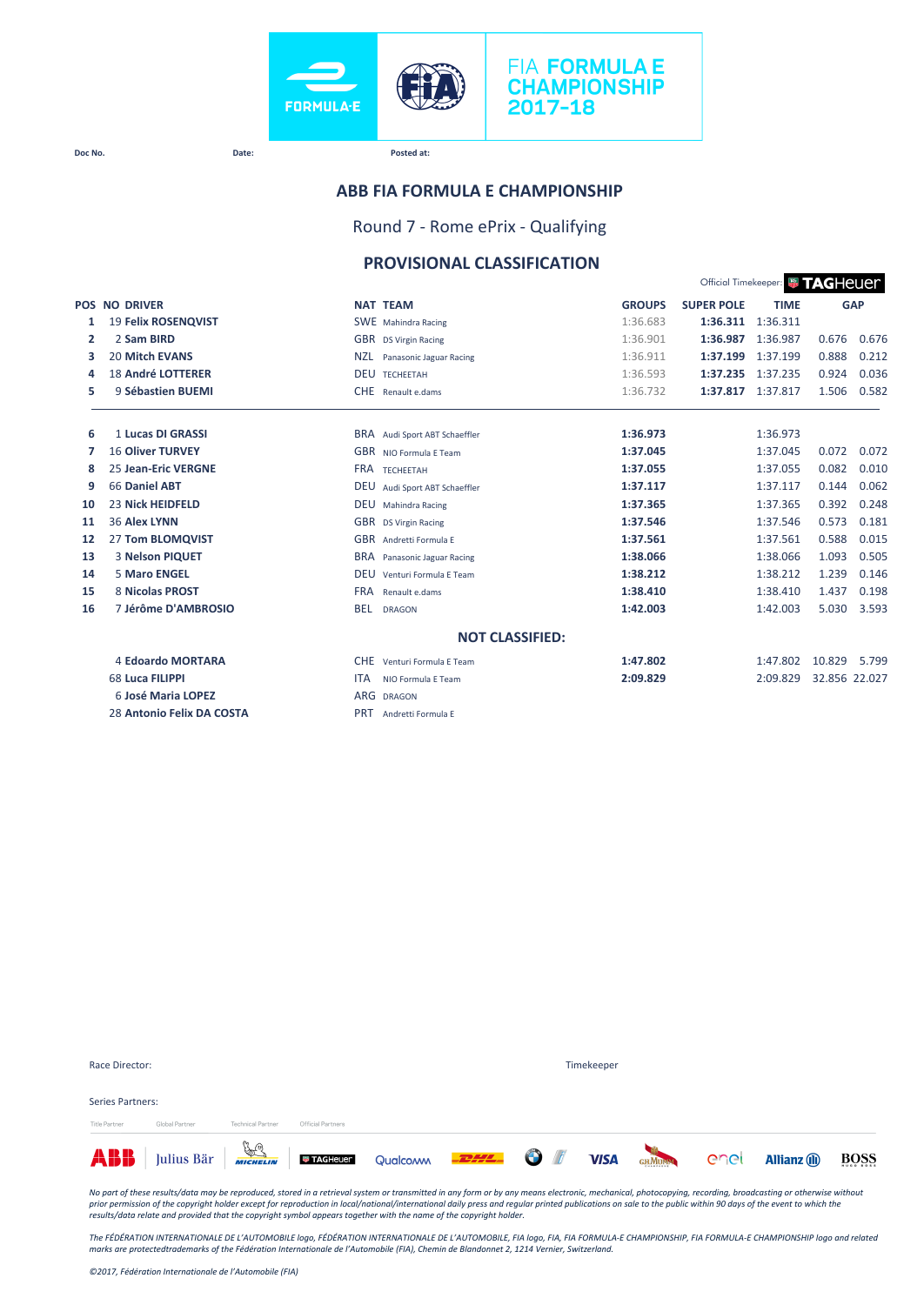

#### **ABB FIA FORMULA E CHAMPIONSHIP**

Round 7 - Rome ePrix - Qualifying

#### **PROVISIONAL CLASSIFICATION**

Official Timekeeper: **Ed. T.A. C. H.A. I.A. C.** 

|    |                            |            |                               |               |                   | Official Hillerceper. <b>WE LAND ICOL</b> |               |            |  |  |
|----|----------------------------|------------|-------------------------------|---------------|-------------------|-------------------------------------------|---------------|------------|--|--|
|    | <b>POS NO DRIVER</b>       |            | <b>NAT TEAM</b>               | <b>GROUPS</b> | <b>SUPER POLE</b> | <b>TIME</b>                               |               | <b>GAP</b> |  |  |
| 1  | <b>19 Felix ROSENQVIST</b> |            | SWE Mahindra Racing           | 1:36.683      | 1:36.311          | 1:36.311                                  |               |            |  |  |
| 2  | 2 Sam BIRD                 |            | GBR DS Virgin Racing          | 1:36.901      | 1:36.987          | 1:36.987                                  | 0.676         | 0.676      |  |  |
| з  | <b>20 Mitch EVANS</b>      | <b>NZL</b> | Panasonic Jaguar Racing       | 1:36.911      | 1:37.199          | 1:37.199                                  | 0.888         | 0.212      |  |  |
| 4  | <b>18 André LOTTERER</b>   |            | <b>DEU TECHEETAH</b>          | 1:36.593      |                   | 1:37.235 1:37.235                         | 0.924         | 0.036      |  |  |
| 5  | 9 Sébastien BUEMI          | <b>CHE</b> | Renault e.dams                | 1:36.732      | 1:37.817          | 1:37.817                                  | 1.506         | 0.582      |  |  |
| 6  | 1 Lucas DI GRASSI          |            | BRA Audi Sport ABT Schaeffler | 1:36.973      |                   | 1:36.973                                  |               |            |  |  |
| 7  | <b>16 Oliver TURVEY</b>    |            | GBR NIO Formula E Team        | 1:37.045      |                   | 1:37.045                                  | 0.072         | 0.072      |  |  |
| 8  | <b>25 Jean-Eric VERGNE</b> |            | FRA TECHEETAH                 | 1:37.055      |                   | 1:37.055                                  | 0.082         | 0.010      |  |  |
| 9  | 66 Daniel ABT              | <b>DEU</b> | Audi Sport ABT Schaeffler     | 1:37.117      |                   | 1:37.117                                  | 0.144         | 0.062      |  |  |
| 10 | <b>23 Nick HEIDFELD</b>    | <b>DEU</b> | Mahindra Racing               | 1:37.365      |                   | 1:37.365                                  | 0.392         | 0.248      |  |  |
| 11 | <b>36 Alex LYNN</b>        | <b>GBR</b> | <b>DS Virgin Racing</b>       | 1:37.546      |                   | 1:37.546                                  | 0.573         | 0.181      |  |  |
| 12 | 27 Tom BLOMQVIST           |            | GBR Andretti Formula E        | 1:37.561      |                   | 1:37.561                                  | 0.588         | 0.015      |  |  |
| 13 | 3 Nelson PIQUET            | <b>BRA</b> | Panasonic Jaguar Racing       | 1:38.066      |                   | 1:38.066                                  | 1.093         | 0.505      |  |  |
| 14 | <b>5 Maro ENGEL</b>        | <b>DEU</b> | Venturi Formula E Team        | 1:38.212      |                   | 1:38.212                                  | 1.239         | 0.146      |  |  |
| 15 | 8 Nicolas PROST            | <b>FRA</b> | Renault e.dams                | 1:38.410      |                   | 1:38.410                                  | 1.437         | 0.198      |  |  |
| 16 | 7 Jérôme D'AMBROSIO        | <b>BEL</b> | <b>DRAGON</b>                 | 1:42.003      |                   | 1:42.003                                  | 5.030         | 3.593      |  |  |
|    |                            |            | <b>NOT CLASSIFIED:</b>        |               |                   |                                           |               |            |  |  |
|    | <b>4 Edoardo MORTARA</b>   | <b>CHE</b> | Venturi Formula E Team        | 1:47.802      |                   | 1:47.802                                  | 10.829        | 5.799      |  |  |
|    | 68 Luca FILIPPI            | <b>ITA</b> | NIO Formula E Team            | 2:09.829      |                   | 2:09.829                                  | 32.856 22.027 |            |  |  |
|    | 6 José Maria LOPEZ         | <b>ARG</b> | <b>DRAGON</b>                 |               |                   |                                           |               |            |  |  |
|    | 28 Antonio Felix DA COSTA  | <b>PRT</b> | Andretti Formula E            |               |                   |                                           |               |            |  |  |

| Race Director:   |                |                          |                   |                                                                                               | Timekeeper |  |              |                     |             |
|------------------|----------------|--------------------------|-------------------|-----------------------------------------------------------------------------------------------|------------|--|--------------|---------------------|-------------|
| Series Partners: |                |                          |                   |                                                                                               |            |  |              |                     |             |
| Title Partner    | Global Partner | <b>Technical Partner</b> | Official Partners |                                                                                               |            |  |              |                     |             |
|                  |                |                          |                   | <b>ABB</b> Julius Bär <b>Francische Directorum</b> Qualcomm <b>Directorum</b> O <i>I</i> VISA |            |  | GENURAL CACI | <b>Allianz</b> (ii) | <b>BOSS</b> |

*No part of these results/data may be reproduced, stored in a retrieval system or transmitted in any form or by any means electronic, mechanical, photocopying, recording, broadcasting or otherwise without*  prior permission of the copyright holder except for reproduction in local/national/international daily press and regular printed publications on sale to the public within 90 days of the event to which the<br>results/data rela

The FÉDÉRATION INTERNATIONALE DE L'AUTOMOBILE logo, FÉDÉRATION INTERNATIONALE DE L'AUTOMOBILE, FIA logo, FIA, FIA FORMULA-E CHAMPIONSHIP, FIA FORMULA-E CHAMPIONSHIP logo and related<br>marks are protectedtrademarks of the Féd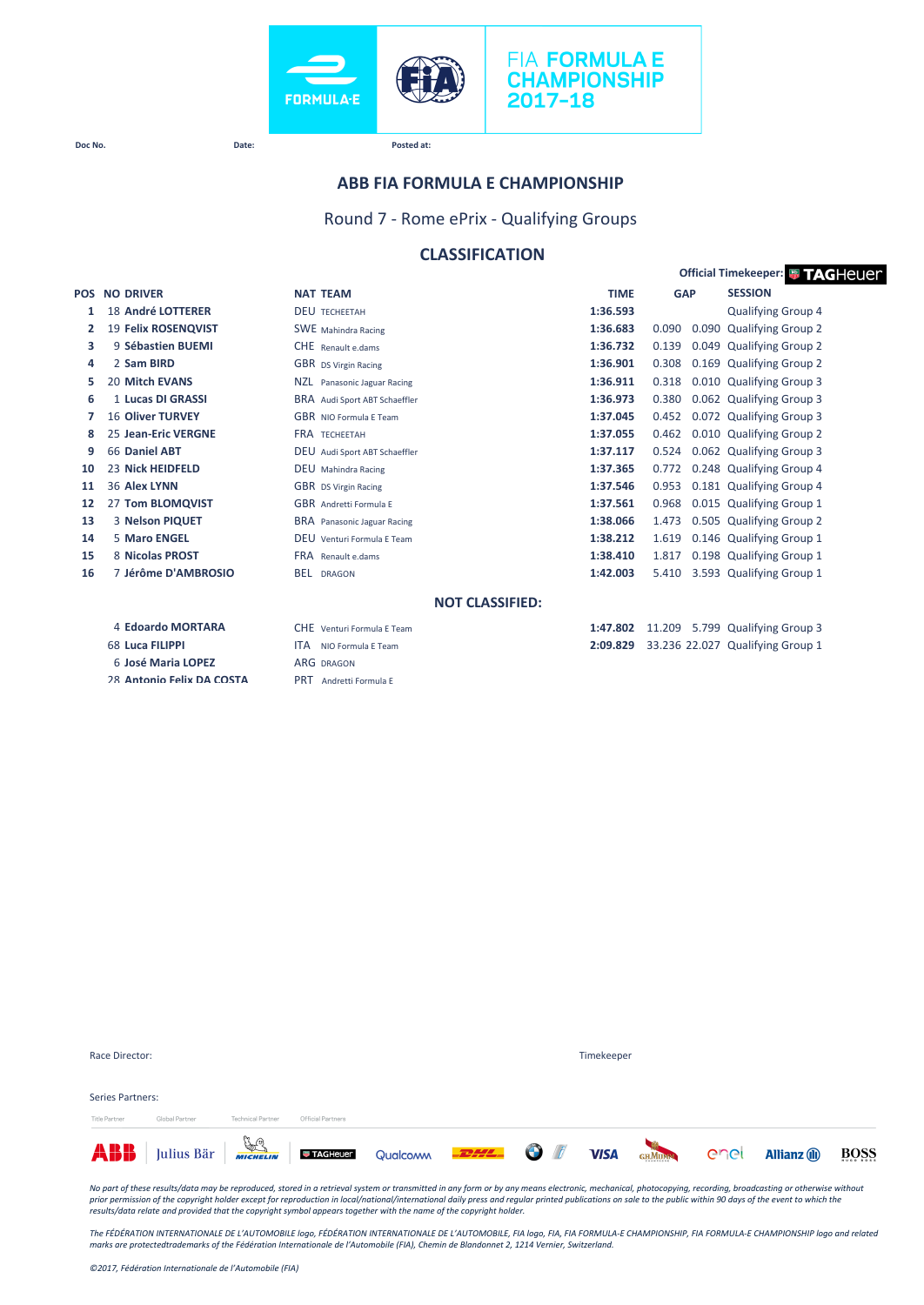



#### **ABB FIA FORMULA E CHAMPIONSHIP**

Round 7 - Rome ePrix - Qualifying Groups

#### **CLASSIFICATION**

| <b>Official Timekeeper: # TAGHeUer</b> |                           |                                  |                        |        |            |                                  |
|----------------------------------------|---------------------------|----------------------------------|------------------------|--------|------------|----------------------------------|
| <b>POS</b>                             | <b>NO DRIVER</b>          | <b>NAT TEAM</b>                  | <b>TIME</b>            |        | <b>GAP</b> | <b>SESSION</b>                   |
| 1                                      | 18 André LOTTERER         | <b>DEU TECHEETAH</b>             | 1:36.593               |        |            | Qualifying Group 4               |
| 2                                      | 19 Felix ROSENQVIST       | <b>SWE</b> Mahindra Racing       | 1:36.683               | 0.090  |            | 0.090 Qualifying Group 2         |
| з                                      | 9 Sébastien BUEMI         | CHE Renault e.dams               | 1:36.732               | 0.139  | 0.049      | <b>Qualifying Group 2</b>        |
| 4                                      | 2 Sam BIRD                | GBR DS Virgin Racing             | 1:36.901               | 0.308  | 0.169      | <b>Qualifying Group 2</b>        |
| 5                                      | <b>20 Mitch EVANS</b>     | NZL Panasonic Jaguar Racing      | 1:36.911               | 0.318  |            | 0.010 Qualifying Group 3         |
| 6                                      | 1 Lucas DI GRASSI         | BRA Audi Sport ABT Schaeffler    | 1:36.973               | 0.380  |            | 0.062 Qualifying Group 3         |
| 7                                      | <b>16 Oliver TURVEY</b>   | <b>GBR</b> NIO Formula F Team    | 1:37.045               | 0.452  |            | 0.072 Qualifying Group 3         |
| 8                                      | 25 Jean-Eric VERGNE       | <b>FRA TECHEFTAH</b>             | 1:37.055               | 0.462  |            | 0.010 Qualifying Group 2         |
| 9                                      | 66 Daniel ABT             | DEU Audi Sport ABT Schaeffler    | 1:37.117               | 0.524  |            | 0.062 Qualifying Group 3         |
| 10                                     | 23 Nick HEIDFELD          | <b>DEU</b> Mahindra Racing       | 1:37.365               | 0.772  |            | 0.248 Qualifying Group 4         |
| 11                                     | 36 Alex LYNN              | <b>GBR</b> DS Virgin Racing      | 1:37.546               | 0.953  |            | 0.181 Qualifying Group 4         |
| 12                                     | 27 Tom BLOMQVIST          | <b>GBR</b> Andretti Formula E    | 1:37.561               | 0.968  |            | 0.015 Qualifying Group 1         |
| 13                                     | 3 Nelson PIQUET           | BRA Panasonic Jaguar Racing      | 1:38.066               | 1.473  |            | 0.505 Qualifying Group 2         |
| 14                                     | 5 Maro ENGEL              | DEU<br>Venturi Formula E Team    | 1:38.212               | 1.619  |            | 0.146 Qualifying Group 1         |
| 15                                     | 8 Nicolas PROST           | <b>FRA</b> Renault e.dams        | 1:38.410               | 1.817  |            | 0.198 Qualifying Group 1         |
| 16                                     | 7 Jérôme D'AMBROSIO       | <b>BEL</b><br><b>DRAGON</b>      | 1:42.003               | 5.410  |            | 3.593 Qualifying Group 1         |
|                                        |                           |                                  | <b>NOT CLASSIFIED:</b> |        |            |                                  |
|                                        | 4 Edoardo MORTARA         | CHE Venturi Formula F Team       | 1:47.802               | 11.209 |            | 5.799 Qualifying Group 3         |
|                                        | 68 Luca FILIPPI           | <b>ITA</b><br>NIO Formula F Team | 2:09.829               |        |            | 33.236 22.027 Qualifying Group 1 |
|                                        | 6 José Maria LOPEZ        | <b>ARG DRAGON</b>                |                        |        |            |                                  |
|                                        | 28 Antonio Felix DA COSTA | <b>PRT</b><br>Andretti Formula E |                        |        |            |                                  |

| Title Partner    | Global Partner | <b>Technical Partner</b> | Official Partners |  |            |  |  |
|------------------|----------------|--------------------------|-------------------|--|------------|--|--|
| Series Partners: |                |                          |                   |  |            |  |  |
| Race Director:   |                |                          |                   |  | Timekeeper |  |  |

No part of these results/data may be reproduced, stored in a retrieval system or transmitted in any form or by any means electronic, mechanical, photocopying, recording, broadcasting or otherwise without<br>prior permission o

The FÉDÉRATION INTERNATIONALE DE L'AUTOMOBILE logo, FÉDÉRATION INTERNATIONALE DE L'AUTOMOBILE, FIA logo, FIA, FIA FORMULA-E CHAMPIONSHIP, FIA FORMULA-E CHAMPIONSHIP logo and related<br>marks are protectedtrademarks of the Féd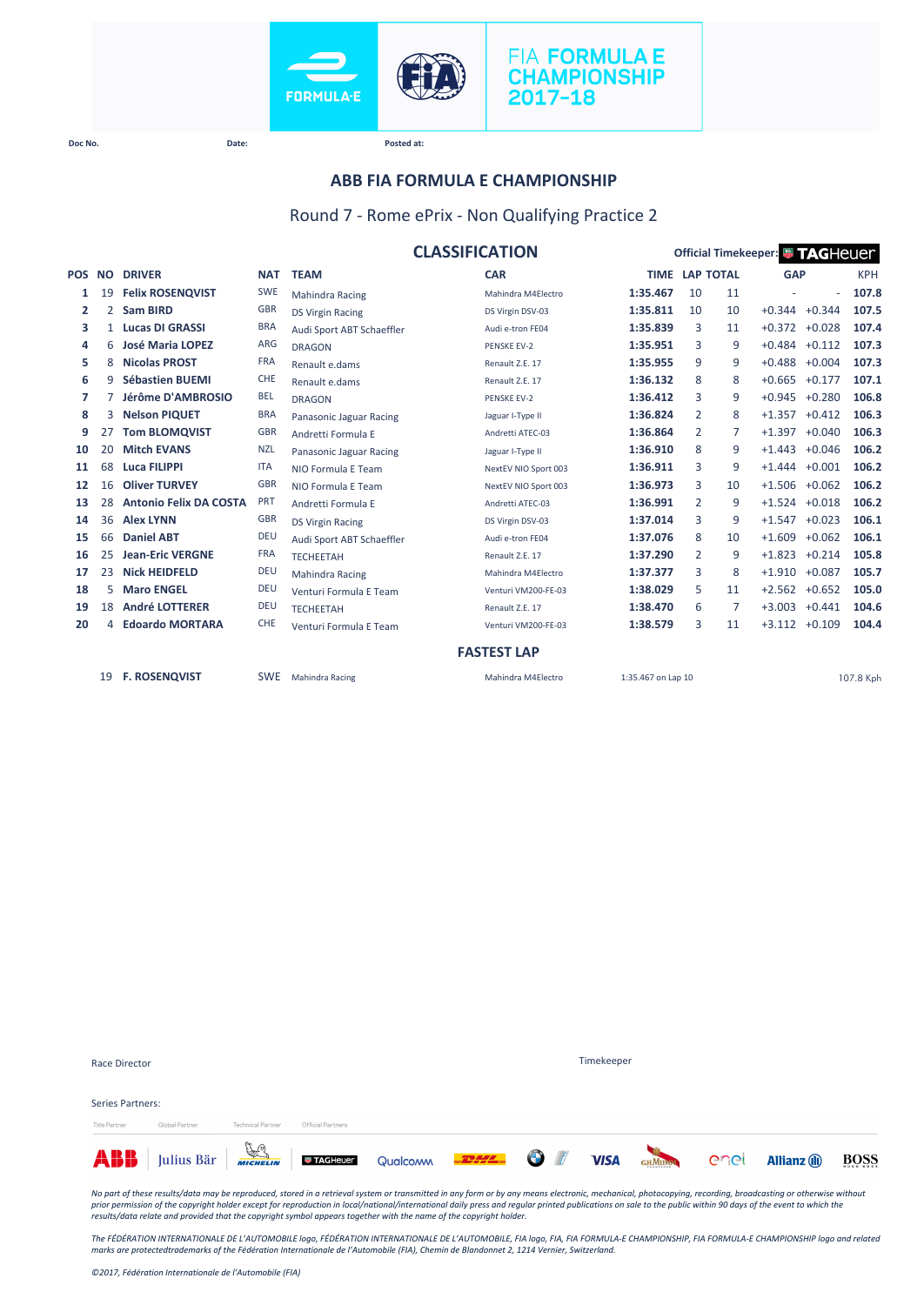



# **ABB FIA FORMULA E CHAMPIONSHIP**

#### Round 7 - Rome ePrix - Non Qualifying Practice 2

|        |                |                               |            | <b>CLASSIFICATION</b>     | Official Timekeeper: <sup>1</sup> 7AGHeuer |                    |                  |    |                 |                 |            |
|--------|----------------|-------------------------------|------------|---------------------------|--------------------------------------------|--------------------|------------------|----|-----------------|-----------------|------------|
| POS NO |                | <b>DRIVER</b>                 | <b>NAT</b> | <b>TEAM</b>               | <b>CAR</b>                                 | <b>TIME</b>        | <b>LAP TOTAL</b> |    | <b>GAP</b>      |                 | <b>KPH</b> |
| 1      | 19             | <b>Felix ROSENQVIST</b>       | <b>SWE</b> | <b>Mahindra Racing</b>    | Mahindra M4Electro                         | 1:35.467           | 10               | 11 |                 | $\sim$          | 107.8      |
| 2      | $\overline{2}$ | <b>Sam BIRD</b>               | <b>GBR</b> | <b>DS Virgin Racing</b>   | DS Virgin DSV-03                           | 1:35.811           | 10               | 10 |                 | $+0.344 +0.344$ | 107.5      |
| з      | $\mathbf{1}$   | <b>Lucas DI GRASSI</b>        | <b>BRA</b> | Audi Sport ABT Schaeffler | Audi e-tron FE04                           | 1:35.839           | 3                | 11 | $+0.372$        | $+0.028$        | 107.4      |
| 4      | 6              | <b>José Maria LOPEZ</b>       | <b>ARG</b> | <b>DRAGON</b>             | <b>PENSKE EV-2</b>                         | 1:35.951           | 3                | 9  | $+0.484 +0.112$ |                 | 107.3      |
| 5      | 8              | <b>Nicolas PROST</b>          | <b>FRA</b> | Renault e.dams            | Renault Z.E. 17                            | 1:35.955           | 9                | 9  | $+0.488$        | $+0.004$        | 107.3      |
| 6      | 9              | <b>Sébastien BUEMI</b>        | <b>CHE</b> | Renault e.dams            | Renault Z.E. 17                            | 1:36.132           | 8                | 8  |                 | $+0.665 +0.177$ | 107.1      |
| 7      |                | Jérôme D'AMBROSIO             | <b>BEL</b> | <b>DRAGON</b>             | <b>PENSKE EV-2</b>                         | 1:36.412           | 3                | 9  |                 | $+0.945 +0.280$ | 106.8      |
| 8      | 3              | <b>Nelson PIQUET</b>          | <b>BRA</b> | Panasonic Jaguar Racing   | Jaguar I-Type II                           | 1:36.824           | 2                | 8  | $+1.357 +0.412$ |                 | 106.3      |
| 9      | 27             | <b>Tom BLOMQVIST</b>          | <b>GBR</b> | Andretti Formula E        | Andretti ATEC-03                           | 1:36.864           | 2                | 7  | $+1.397$        | $+0.040$        | 106.3      |
| 10     | 20             | <b>Mitch EVANS</b>            | <b>NZL</b> | Panasonic Jaguar Racing   | Jaguar I-Type II                           | 1:36.910           | 8                | 9  |                 | $+1.443 +0.046$ | 106.2      |
| 11     | 68             | <b>Luca FILIPPI</b>           | <b>ITA</b> | NIO Formula E Team        | NextEV NIO Sport 003                       | 1:36.911           | 3                | 9  | $+1.444$        | $+0.001$        | 106.2      |
| 12     | 16             | <b>Oliver TURVEY</b>          | <b>GBR</b> | NIO Formula E Team        | NextEV NIO Sport 003                       | 1:36.973           | 3                | 10 |                 | $+1.506 +0.062$ | 106.2      |
| 13     | 28             | <b>Antonio Felix DA COSTA</b> | PRT        | Andretti Formula E        | Andretti ATEC-03                           | 1:36.991           | 2                | 9  | $+1.524$        | $+0.018$        | 106.2      |
| 14     | 36             | <b>Alex LYNN</b>              | <b>GBR</b> | <b>DS Virgin Racing</b>   | DS Virgin DSV-03                           | 1:37.014           | 3                | 9  | $+1.547$        | $+0.023$        | 106.1      |
| 15     | 66             | <b>Daniel ABT</b>             | <b>DEU</b> | Audi Sport ABT Schaeffler | Audi e-tron FE04                           | 1:37.076           | 8                | 10 | $+1.609$        | $+0.062$        | 106.1      |
| 16     | 25             | <b>Jean-Eric VERGNE</b>       | <b>FRA</b> | <b>TECHEETAH</b>          | Renault Z.E. 17                            | 1:37.290           | 2                | 9  | $+1.823$        | $+0.214$        | 105.8      |
| 17     | 23             | <b>Nick HEIDFELD</b>          | <b>DEU</b> | <b>Mahindra Racing</b>    | Mahindra M4Electro                         | 1:37.377           | 3                | 8  | $+1.910$        | $+0.087$        | 105.7      |
| 18     | 5              | <b>Maro ENGEL</b>             | <b>DEU</b> | Venturi Formula E Team    | Venturi VM200-FE-03                        | 1:38.029           | 5                | 11 | $+2.562 +0.652$ |                 | 105.0      |
| 19     | 18             | <b>André LOTTERER</b>         | <b>DEU</b> | <b>TECHEETAH</b>          | Renault Z.E. 17                            | 1:38.470           | 6                | 7  | $+3.003$        | $+0.441$        | 104.6      |
| 20     | 4              | <b>Edoardo MORTARA</b>        | CHE        | Venturi Formula E Team    | Venturi VM200-FE-03                        | 1:38.579           | 3                | 11 |                 | $+3.112 +0.109$ | 104.4      |
|        |                |                               |            |                           | <b>FASTEST LAP</b>                         |                    |                  |    |                 |                 |            |
|        | 19             | <b>F. ROSENQVIST</b>          | <b>SWE</b> | Mahindra Racing           | Mahindra M4Electro                         | 1:35.467 on Lap 10 |                  |    |                 |                 | 107.8 Kph  |

|                  | <b>ABB</b> Julius Bär <b>Francische Director C</b> ualcomm <b>-2444 O</b> |                          |                   |                   |  | <b>VISA</b> | GHMUMM | enel | <b>Allianz</b> (ii) | BOSS |  |
|------------------|---------------------------------------------------------------------------|--------------------------|-------------------|-------------------|--|-------------|--------|------|---------------------|------|--|
| Title Partner    | Global Partner                                                            | <b>Technical Partner</b> | Official Partners |                   |  |             |        |      |                     |      |  |
| Series Partners: |                                                                           |                          |                   |                   |  |             |        |      |                     |      |  |
|                  |                                                                           |                          |                   |                   |  |             |        |      |                     |      |  |
| Race Director    |                                                                           |                          |                   | <b>Timekeeper</b> |  |             |        |      |                     |      |  |

No part of these results/data may be reproduced, stored in a retrieval system or transmitted in any form or by any means electronic, mechanical, photocopying, recording, broadcasting or otherwise without<br>prior permission o

*The FÉDÉRATION INTERNATIONALE DE L'AUTOMOBILE logo, FÉDÉRATION INTERNATIONALE DE L'AUTOMOBILE, FIA logo, FIA, FIA FORMULA-E CHAMPIONSHIP, FIA FORMULA-E CHAMPIONSHIP logo and related marks are protectedtrademarks of the Fédération Internationale de l'Automobile (FIA), Chemin de Blandonnet 2, 1214 Vernier, Switzerland.*